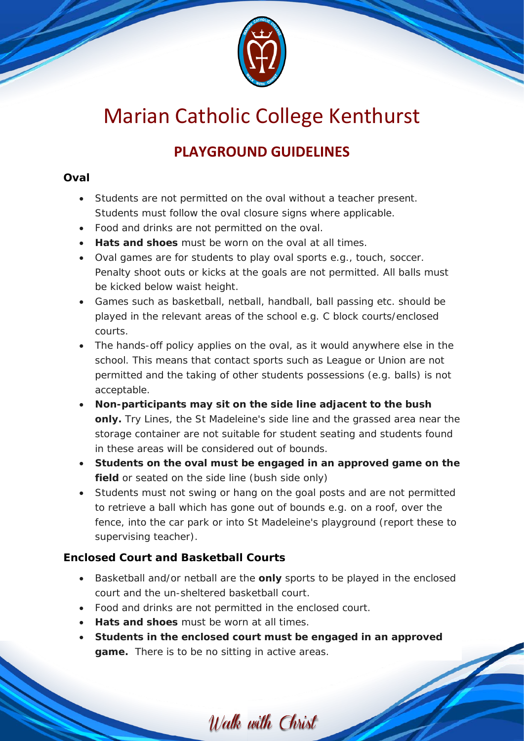

# Marian Catholic College Kenthurst

## **PLAYGROUND GUIDELINES**

#### **Oval**

- Students are not permitted on the oval without a teacher present. Students must follow the oval closure signs where applicable.
- Food and drinks are not permitted on the oval.
- **Hats and shoes** must be worn on the oval at all times.
- Oval games are for students to play oval sports e.g., touch, soccer. Penalty shoot outs or kicks at the goals are not permitted. All balls must be kicked below waist height.
- Games such as basketball, netball, handball, ball passing etc. should be played in the relevant areas of the school e.g. C block courts/enclosed courts.
- The hands-off policy applies on the oval, as it would anywhere else in the school. This means that contact sports such as League or Union are not permitted and the taking of other students possessions (e.g. balls) is not acceptable.
- **Non-participants may sit on the side line adjacent to the bush only.** Try Lines, the St Madeleine's side line and the grassed area near the storage container are not suitable for student seating and students found in these areas will be considered out of bounds.
- **Students on the oval must be engaged in an approved game on the**  field or seated on the side line (bush side only)
- Students must not swing or hang on the goal posts and are not permitted to retrieve a ball which has gone out of bounds e.g. on a roof, over the fence, into the car park or into St Madeleine's playground (report these to supervising teacher).

### **Enclosed Court and Basketball Courts**

- Basketball and/or netball are the **only** sports to be played in the enclosed court and the un-sheltered basketball court.
- Food and drinks are not permitted in the enclosed court.
- **Hats and shoes** must be worn at all times.
- **Students in the enclosed court must be engaged in an approved game.** There is to be no sitting in active areas.

Walk with Christ